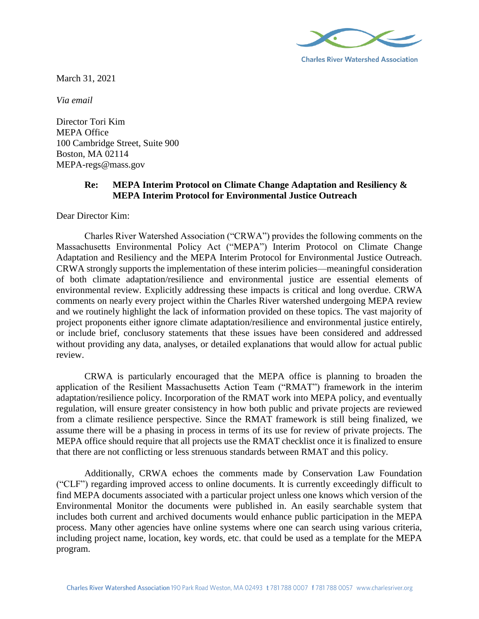

March 31, 2021

*Via email*

Director Tori Kim MEPA Office 100 Cambridge Street, Suite 900 Boston, MA 02114 MEPA-regs@mass.gov

# **Re: MEPA Interim Protocol on Climate Change Adaptation and Resiliency & MEPA Interim Protocol for Environmental Justice Outreach**

Dear Director Kim:

Charles River Watershed Association ("CRWA") provides the following comments on the Massachusetts Environmental Policy Act ("MEPA") Interim Protocol on Climate Change Adaptation and Resiliency and the MEPA Interim Protocol for Environmental Justice Outreach. CRWA strongly supports the implementation of these interim policies—meaningful consideration of both climate adaptation/resilience and environmental justice are essential elements of environmental review. Explicitly addressing these impacts is critical and long overdue. CRWA comments on nearly every project within the Charles River watershed undergoing MEPA review and we routinely highlight the lack of information provided on these topics. The vast majority of project proponents either ignore climate adaptation/resilience and environmental justice entirely, or include brief, conclusory statements that these issues have been considered and addressed without providing any data, analyses, or detailed explanations that would allow for actual public review.

CRWA is particularly encouraged that the MEPA office is planning to broaden the application of the Resilient Massachusetts Action Team ("RMAT") framework in the interim adaptation/resilience policy. Incorporation of the RMAT work into MEPA policy, and eventually regulation, will ensure greater consistency in how both public and private projects are reviewed from a climate resilience perspective. Since the RMAT framework is still being finalized, we assume there will be a phasing in process in terms of its use for review of private projects. The MEPA office should require that all projects use the RMAT checklist once it is finalized to ensure that there are not conflicting or less strenuous standards between RMAT and this policy.

Additionally, CRWA echoes the comments made by Conservation Law Foundation ("CLF") regarding improved access to online documents. It is currently exceedingly difficult to find MEPA documents associated with a particular project unless one knows which version of the Environmental Monitor the documents were published in. An easily searchable system that includes both current and archived documents would enhance public participation in the MEPA process. Many other agencies have online systems where one can search using various criteria, including project name, location, key words, etc. that could be used as a template for the MEPA program.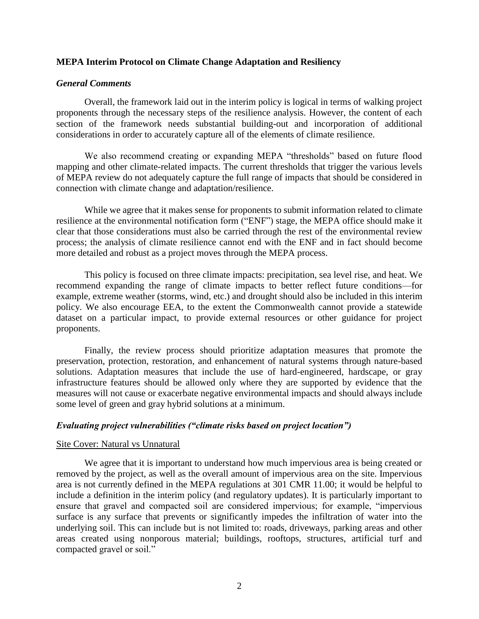## **MEPA Interim Protocol on Climate Change Adaptation and Resiliency**

## *General Comments*

Overall, the framework laid out in the interim policy is logical in terms of walking project proponents through the necessary steps of the resilience analysis. However, the content of each section of the framework needs substantial building-out and incorporation of additional considerations in order to accurately capture all of the elements of climate resilience.

We also recommend creating or expanding MEPA "thresholds" based on future flood mapping and other climate-related impacts. The current thresholds that trigger the various levels of MEPA review do not adequately capture the full range of impacts that should be considered in connection with climate change and adaptation/resilience.

While we agree that it makes sense for proponents to submit information related to climate resilience at the environmental notification form ("ENF") stage, the MEPA office should make it clear that those considerations must also be carried through the rest of the environmental review process; the analysis of climate resilience cannot end with the ENF and in fact should become more detailed and robust as a project moves through the MEPA process.

This policy is focused on three climate impacts: precipitation, sea level rise, and heat. We recommend expanding the range of climate impacts to better reflect future conditions—for example, extreme weather (storms, wind, etc.) and drought should also be included in this interim policy. We also encourage EEA, to the extent the Commonwealth cannot provide a statewide dataset on a particular impact, to provide external resources or other guidance for project proponents.

Finally, the review process should prioritize adaptation measures that promote the preservation, protection, restoration, and enhancement of natural systems through nature-based solutions. Adaptation measures that include the use of hard-engineered, hardscape, or gray infrastructure features should be allowed only where they are supported by evidence that the measures will not cause or exacerbate negative environmental impacts and should always include some level of green and gray hybrid solutions at a minimum.

## *Evaluating project vulnerabilities ("climate risks based on project location")*

## Site Cover: Natural vs Unnatural

We agree that it is important to understand how much impervious area is being created or removed by the project, as well as the overall amount of impervious area on the site. Impervious area is not currently defined in the MEPA regulations at 301 CMR 11.00; it would be helpful to include a definition in the interim policy (and regulatory updates). It is particularly important to ensure that gravel and compacted soil are considered impervious; for example, "impervious surface is any surface that prevents or significantly impedes the infiltration of water into the underlying soil. This can include but is not limited to: roads, driveways, parking areas and other areas created using nonporous material; buildings, rooftops, structures, artificial turf and compacted gravel or soil."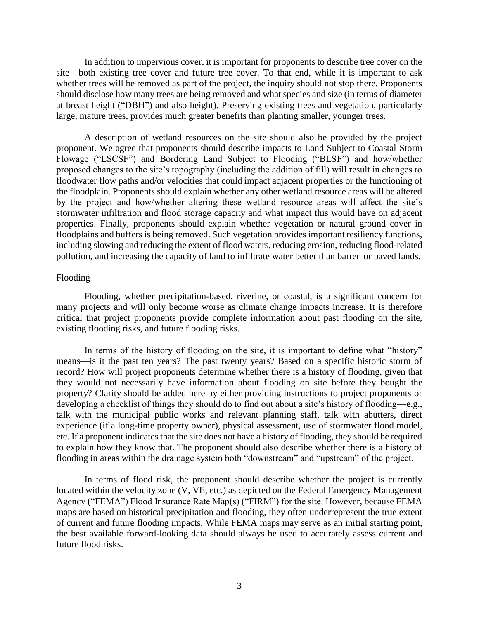In addition to impervious cover, it is important for proponents to describe tree cover on the site—both existing tree cover and future tree cover. To that end, while it is important to ask whether trees will be removed as part of the project, the inquiry should not stop there. Proponents should disclose how many trees are being removed and what species and size (in terms of diameter at breast height ("DBH") and also height). Preserving existing trees and vegetation, particularly large, mature trees, provides much greater benefits than planting smaller, younger trees.

A description of wetland resources on the site should also be provided by the project proponent. We agree that proponents should describe impacts to Land Subject to Coastal Storm Flowage ("LSCSF") and Bordering Land Subject to Flooding ("BLSF") and how/whether proposed changes to the site's topography (including the addition of fill) will result in changes to floodwater flow paths and/or velocities that could impact adjacent properties or the functioning of the floodplain. Proponents should explain whether any other wetland resource areas will be altered by the project and how/whether altering these wetland resource areas will affect the site's stormwater infiltration and flood storage capacity and what impact this would have on adjacent properties. Finally, proponents should explain whether vegetation or natural ground cover in floodplains and buffers is being removed. Such vegetation provides important resiliency functions, including slowing and reducing the extent of flood waters, reducing erosion, reducing flood-related pollution, and increasing the capacity of land to infiltrate water better than barren or paved lands.

## Flooding

Flooding, whether precipitation-based, riverine, or coastal, is a significant concern for many projects and will only become worse as climate change impacts increase. It is therefore critical that project proponents provide complete information about past flooding on the site, existing flooding risks, and future flooding risks.

In terms of the history of flooding on the site, it is important to define what "history" means—is it the past ten years? The past twenty years? Based on a specific historic storm of record? How will project proponents determine whether there is a history of flooding, given that they would not necessarily have information about flooding on site before they bought the property? Clarity should be added here by either providing instructions to project proponents or developing a checklist of things they should do to find out about a site's history of flooding—e.g., talk with the municipal public works and relevant planning staff, talk with abutters, direct experience (if a long-time property owner), physical assessment, use of stormwater flood model, etc. If a proponent indicates that the site does not have a history of flooding, they should be required to explain how they know that. The proponent should also describe whether there is a history of flooding in areas within the drainage system both "downstream" and "upstream" of the project.

In terms of flood risk, the proponent should describe whether the project is currently located within the velocity zone (V, VE, etc.) as depicted on the Federal Emergency Management Agency ("FEMA") Flood Insurance Rate Map(s) ("FIRM") for the site. However, because FEMA maps are based on historical precipitation and flooding, they often underrepresent the true extent of current and future flooding impacts. While FEMA maps may serve as an initial starting point, the best available forward-looking data should always be used to accurately assess current and future flood risks.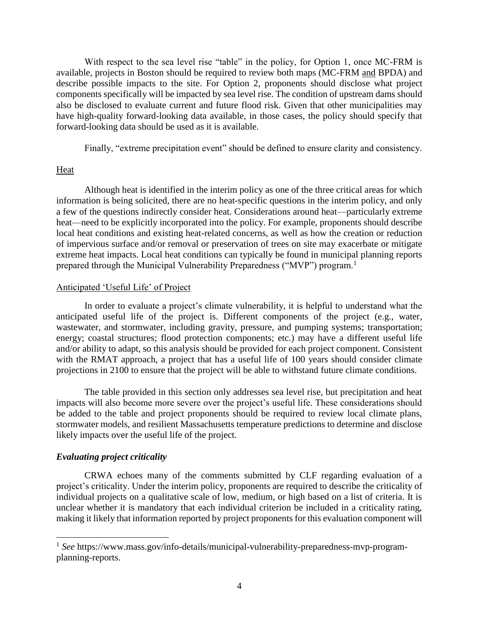With respect to the sea level rise "table" in the policy, for Option 1, once MC-FRM is available, projects in Boston should be required to review both maps (MC-FRM and BPDA) and describe possible impacts to the site. For Option 2, proponents should disclose what project components specifically will be impacted by sea level rise. The condition of upstream dams should also be disclosed to evaluate current and future flood risk. Given that other municipalities may have high-quality forward-looking data available, in those cases, the policy should specify that forward-looking data should be used as it is available.

Finally, "extreme precipitation event" should be defined to ensure clarity and consistency.

## **Heat**

Although heat is identified in the interim policy as one of the three critical areas for which information is being solicited, there are no heat-specific questions in the interim policy, and only a few of the questions indirectly consider heat. Considerations around heat—particularly extreme heat—need to be explicitly incorporated into the policy. For example, proponents should describe local heat conditions and existing heat-related concerns, as well as how the creation or reduction of impervious surface and/or removal or preservation of trees on site may exacerbate or mitigate extreme heat impacts. Local heat conditions can typically be found in municipal planning reports prepared through the Municipal Vulnerability Preparedness ("MVP") program.<sup>1</sup>

#### Anticipated 'Useful Life' of Project

In order to evaluate a project's climate vulnerability, it is helpful to understand what the anticipated useful life of the project is. Different components of the project (e.g., water, wastewater, and stormwater, including gravity, pressure, and pumping systems; transportation; energy; coastal structures; flood protection components; etc.) may have a different useful life and/or ability to adapt, so this analysis should be provided for each project component. Consistent with the RMAT approach, a project that has a useful life of 100 years should consider climate projections in 2100 to ensure that the project will be able to withstand future climate conditions.

The table provided in this section only addresses sea level rise, but precipitation and heat impacts will also become more severe over the project's useful life. These considerations should be added to the table and project proponents should be required to review local climate plans, stormwater models, and resilient Massachusetts temperature predictions to determine and disclose likely impacts over the useful life of the project.

## *Evaluating project criticality*

 $\overline{a}$ 

CRWA echoes many of the comments submitted by CLF regarding evaluation of a project's criticality. Under the interim policy, proponents are required to describe the criticality of individual projects on a qualitative scale of low, medium, or high based on a list of criteria. It is unclear whether it is mandatory that each individual criterion be included in a criticality rating, making it likely that information reported by project proponents for this evaluation component will

<sup>&</sup>lt;sup>1</sup> See https://www.mass.gov/info-details/municipal-vulnerability-preparedness-mvp-programplanning-reports.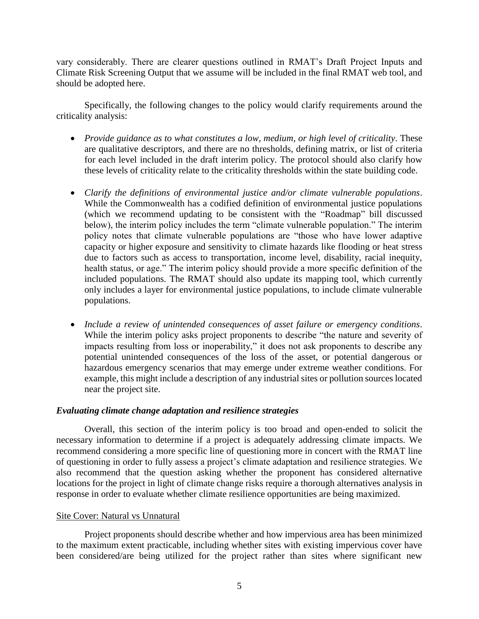vary considerably. There are clearer questions outlined in RMAT's Draft Project Inputs and Climate Risk Screening Output that we assume will be included in the final RMAT web tool, and should be adopted here.

Specifically, the following changes to the policy would clarify requirements around the criticality analysis:

- *Provide guidance as to what constitutes a low, medium, or high level of criticality*. These are qualitative descriptors, and there are no thresholds, defining matrix, or list of criteria for each level included in the draft interim policy. The protocol should also clarify how these levels of criticality relate to the criticality thresholds within the state building code.
- *Clarify the definitions of environmental justice and/or climate vulnerable populations*. While the Commonwealth has a codified definition of environmental justice populations (which we recommend updating to be consistent with the "Roadmap" bill discussed below), the interim policy includes the term "climate vulnerable population." The interim policy notes that climate vulnerable populations are "those who have lower adaptive capacity or higher exposure and sensitivity to climate hazards like flooding or heat stress due to factors such as access to transportation, income level, disability, racial inequity, health status, or age." The interim policy should provide a more specific definition of the included populations. The RMAT should also update its mapping tool, which currently only includes a layer for environmental justice populations, to include climate vulnerable populations.
- *Include a review of unintended consequences of asset failure or emergency conditions*. While the interim policy asks project proponents to describe "the nature and severity of impacts resulting from loss or inoperability," it does not ask proponents to describe any potential unintended consequences of the loss of the asset, or potential dangerous or hazardous emergency scenarios that may emerge under extreme weather conditions. For example, this might include a description of any industrial sites or pollution sources located near the project site.

## *Evaluating climate change adaptation and resilience strategies*

Overall, this section of the interim policy is too broad and open-ended to solicit the necessary information to determine if a project is adequately addressing climate impacts. We recommend considering a more specific line of questioning more in concert with the RMAT line of questioning in order to fully assess a project's climate adaptation and resilience strategies. We also recommend that the question asking whether the proponent has considered alternative locations for the project in light of climate change risks require a thorough alternatives analysis in response in order to evaluate whether climate resilience opportunities are being maximized.

## Site Cover: Natural vs Unnatural

Project proponents should describe whether and how impervious area has been minimized to the maximum extent practicable, including whether sites with existing impervious cover have been considered/are being utilized for the project rather than sites where significant new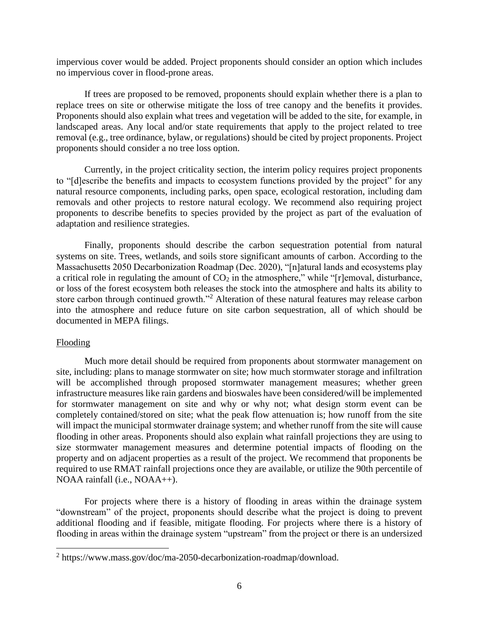impervious cover would be added. Project proponents should consider an option which includes no impervious cover in flood-prone areas.

If trees are proposed to be removed, proponents should explain whether there is a plan to replace trees on site or otherwise mitigate the loss of tree canopy and the benefits it provides. Proponents should also explain what trees and vegetation will be added to the site, for example, in landscaped areas. Any local and/or state requirements that apply to the project related to tree removal (e.g., tree ordinance, bylaw, or regulations) should be cited by project proponents. Project proponents should consider a no tree loss option.

Currently, in the project criticality section, the interim policy requires project proponents to "[d]escribe the benefits and impacts to ecosystem functions provided by the project" for any natural resource components, including parks, open space, ecological restoration, including dam removals and other projects to restore natural ecology. We recommend also requiring project proponents to describe benefits to species provided by the project as part of the evaluation of adaptation and resilience strategies.

Finally, proponents should describe the carbon sequestration potential from natural systems on site. Trees, wetlands, and soils store significant amounts of carbon. According to the Massachusetts 2050 Decarbonization Roadmap (Dec. 2020), "[n]atural lands and ecosystems play a critical role in regulating the amount of  $CO<sub>2</sub>$  in the atmosphere," while "[r]emoval, disturbance, or loss of the forest ecosystem both releases the stock into the atmosphere and halts its ability to store carbon through continued growth."<sup>2</sup> Alteration of these natural features may release carbon into the atmosphere and reduce future on site carbon sequestration, all of which should be documented in MEPA filings.

#### Flooding

Much more detail should be required from proponents about stormwater management on site, including: plans to manage stormwater on site; how much stormwater storage and infiltration will be accomplished through proposed stormwater management measures; whether green infrastructure measures like rain gardens and bioswales have been considered/will be implemented for stormwater management on site and why or why not; what design storm event can be completely contained/stored on site; what the peak flow attenuation is; how runoff from the site will impact the municipal stormwater drainage system; and whether runoff from the site will cause flooding in other areas. Proponents should also explain what rainfall projections they are using to size stormwater management measures and determine potential impacts of flooding on the property and on adjacent properties as a result of the project. We recommend that proponents be required to use RMAT rainfall projections once they are available, or utilize the 90th percentile of NOAA rainfall (i.e., NOAA++).

For projects where there is a history of flooding in areas within the drainage system "downstream" of the project, proponents should describe what the project is doing to prevent additional flooding and if feasible, mitigate flooding. For projects where there is a history of flooding in areas within the drainage system "upstream" from the project or there is an undersized

<sup>&</sup>lt;sup>2</sup> https://www.mass.gov/doc/ma-2050-decarbonization-roadmap/download.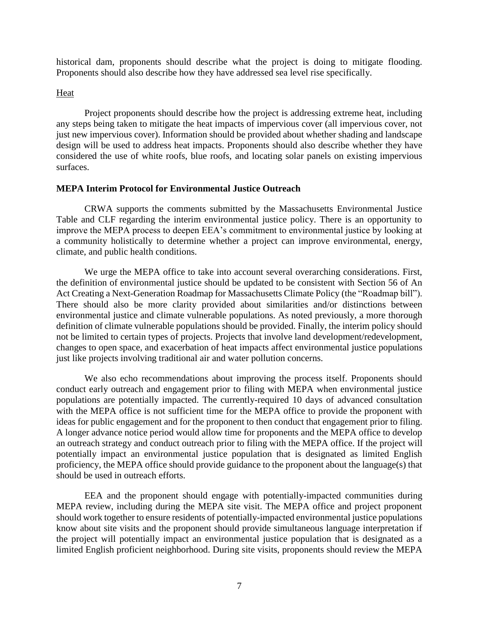historical dam, proponents should describe what the project is doing to mitigate flooding. Proponents should also describe how they have addressed sea level rise specifically.

#### Heat

Project proponents should describe how the project is addressing extreme heat, including any steps being taken to mitigate the heat impacts of impervious cover (all impervious cover, not just new impervious cover). Information should be provided about whether shading and landscape design will be used to address heat impacts. Proponents should also describe whether they have considered the use of white roofs, blue roofs, and locating solar panels on existing impervious surfaces.

### **MEPA Interim Protocol for Environmental Justice Outreach**

CRWA supports the comments submitted by the Massachusetts Environmental Justice Table and CLF regarding the interim environmental justice policy. There is an opportunity to improve the MEPA process to deepen EEA's commitment to environmental justice by looking at a community holistically to determine whether a project can improve environmental, energy, climate, and public health conditions.

We urge the MEPA office to take into account several overarching considerations. First, the definition of environmental justice should be updated to be consistent with Section 56 of An Act Creating a Next-Generation Roadmap for Massachusetts Climate Policy (the "Roadmap bill"). There should also be more clarity provided about similarities and/or distinctions between environmental justice and climate vulnerable populations. As noted previously, a more thorough definition of climate vulnerable populations should be provided. Finally, the interim policy should not be limited to certain types of projects. Projects that involve land development/redevelopment, changes to open space, and exacerbation of heat impacts affect environmental justice populations just like projects involving traditional air and water pollution concerns.

We also echo recommendations about improving the process itself. Proponents should conduct early outreach and engagement prior to filing with MEPA when environmental justice populations are potentially impacted. The currently-required 10 days of advanced consultation with the MEPA office is not sufficient time for the MEPA office to provide the proponent with ideas for public engagement and for the proponent to then conduct that engagement prior to filing. A longer advance notice period would allow time for proponents and the MEPA office to develop an outreach strategy and conduct outreach prior to filing with the MEPA office. If the project will potentially impact an environmental justice population that is designated as limited English proficiency, the MEPA office should provide guidance to the proponent about the language(s) that should be used in outreach efforts.

EEA and the proponent should engage with potentially-impacted communities during MEPA review, including during the MEPA site visit. The MEPA office and project proponent should work together to ensure residents of potentially-impacted environmental justice populations know about site visits and the proponent should provide simultaneous language interpretation if the project will potentially impact an environmental justice population that is designated as a limited English proficient neighborhood. During site visits, proponents should review the MEPA